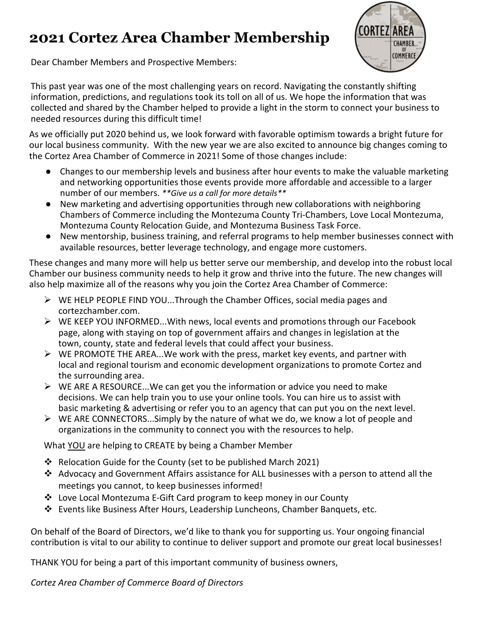# **2021 Cortez Area Chamber Membership**



Dear Chamber Members and Prospective Members:

This past year was one of the most challenging years on record. Navigating the constantly shifting information, predictions, and regulations took its toll on all of us. We hope the information that was collected and shared by the Chamber helped to provide a light in the storm to connect your business to needed resources during this difficult time!

As we officially put 2020 behind us, we look forward with favorable optimism towards a bright future for our local business community. With the new year we are also excited to announce big changes coming to the Cortez Area Chamber of Commerce in 2021! Some of those changes include:

- Changes to our membership levels and business after hour events to make the valuable marketing and networking opportunities those events provide more affordable and accessible to a larger number of our members. *\*\*Give us a call for more details\*\**
- New marketing and advertising opportunities through new collaborations with neighboring Chambers of Commerce including the Montezuma County Tri-Chambers, Love Local Montezuma, Montezuma County Relocation Guide, and Montezuma Business Task Force.
- New mentorship, business training, and referral programs to help member businesses connect with available resources, better leverage technology, and engage more customers.

These changes and many more will help us better serve our membership, and develop into the robust local Chamber our business community needs to help it grow and thrive into the future. The new changes will also help maximize all of the reasons why you join the Cortez Area Chamber of Commerce:

- $\triangleright$  WE HELP PEOPLE FIND YOU...Through the Chamber Offices, social media pages and cortezchamber.com.
- $\triangleright$  WE KEEP YOU INFORMED...With news, local events and promotions through our Facebook page, along with staying on top of government affairs and changes in legislation at the town, county, state and federal levels that could affect your business.
- $\triangleright$  WE PROMOTE THE AREA...We work with the press, market key events, and partner with local and regional tourism and economic development organizations to promote Cortez and the surrounding area.
- $\triangleright$  WE ARE A RESOURCE...We can get you the information or advice you need to make decisions. We can help train you to use your online tools. You can hire us to assist with basic marketing & advertising or refer you to an agency that can put you on the next level.
- $\triangleright$  WE ARE CONNECTORS...Simply by the nature of what we do, we know a lot of people and organizations in the community to connect you with the resources to help.

What YOU are helping to CREATE by being a Chamber Member

- Relocation Guide for the County (set to be published March 2021)
- Advocacy and Government Affairs assistance for ALL businesses with a person to attend all the meetings you cannot, to keep businesses informed!
- Love Local Montezuma E-Gift Card program to keep money in our County
- Events like Business After Hours, Leadership Luncheons, Chamber Banquets, etc.

On behalf of the Board of Directors, we'd like to thank you for supporting us. Your ongoing financial contribution is vital to our ability to continue to deliver support and promote our great local businesses!

THANK YOU for being a part of this important community of business owners,

*Cortez Area Chamber of Commerce Board of Directors*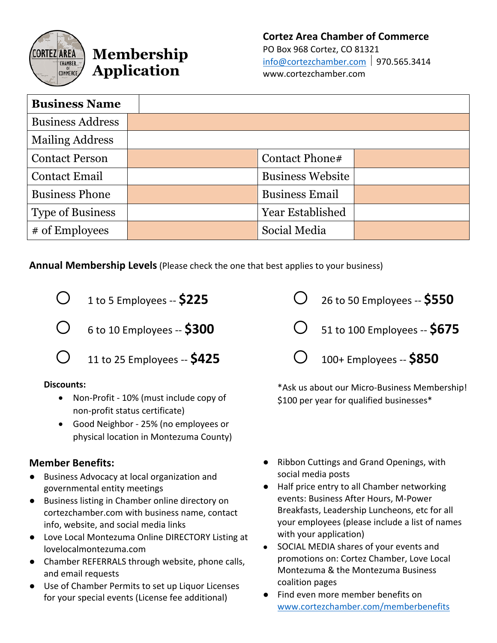

# **Membership Application**

**Cortez Area Chamber of Commerce** PO Box 968 Cortez, CO 81321  $info@cortezchamber.com$  | 970.565.3414 www.cortezchamber.com

| <b>Business Name</b>    |                         |  |
|-------------------------|-------------------------|--|
| <b>Business Address</b> |                         |  |
| <b>Mailing Address</b>  |                         |  |
| <b>Contact Person</b>   | Contact Phone#          |  |
| <b>Contact Email</b>    | <b>Business Website</b> |  |
| <b>Business Phone</b>   | <b>Business Email</b>   |  |
| <b>Type of Business</b> | <b>Year Established</b> |  |
| # of Employees          | Social Media            |  |

**Annual Membership Levels**(Please check the one that best applies to your business)



o 6 to 10 Employees -- **\$300**

 $O_{\frac{11}{10} \times 25}$  Employees --  $$425$ 

#### **Discounts:**

- Non-Profit 10% (must include copy of non-profit status certificate)
- Good Neighbor 25% (no employees or physical location in Montezuma County)

#### **Member Benefits:**

- Business Advocacy at local organization and governmental entity meetings
- Business listing in Chamber online directory on cortezchamber.com with business name, contact info, website, and social media links
- Love Local Montezuma Online DIRECTORY Listing at lovelocalmontezuma.com
- Chamber REFERRALS through website, phone calls, and email requests
- Use of Chamber Permits to set up Liquor Licenses for your special events (License fee additional)

o 26 to 50 Employees -- **\$550** o 51 to 100 Employees -- **\$675** o 100+ Employees -- **\$850**

\*Ask us about our Micro-Business Membership! \$100 per year for qualified businesses\*

- Ribbon Cuttings and Grand Openings, with social media posts
- Half price entry to all Chamber networking events: Business After Hours, M-Power Breakfasts, Leadership Luncheons, etc for all your employees (please include a list of names with your application)
- SOCIAL MEDIA shares of your events and promotions on: Cortez Chamber, Love Local Montezuma & the Montezuma Business coalition pages
- Find even more member benefits on www.cortezchamber.com/memberbenefits